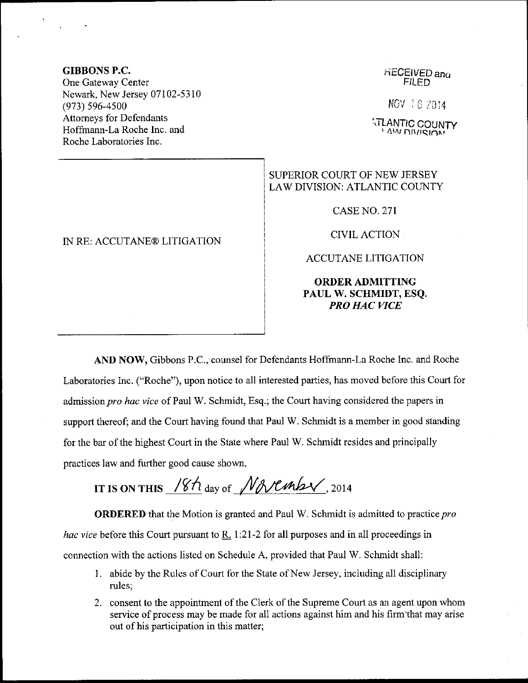### GIBBONS P.C.

One Gateway Center Newark, New Jersey 07102-5310 (973) 596-4500 Attomeys for Defendants Hoffrnann-La Roche Inc. and Roche Laboratories Inc.

### IN RE: ACCUTANE@ LITIGATION

#### **RECEIVED and** FILED

NOV 18 2014

 $\mathbb{T}$ lantic LANTIC COUNTY<br>' <sup>ANA</sup> DIVISION'

# SUPERIOR COURT OF NEW JERSEY LAW DIVISION: ATLANTIC COUNTY

CASENO.2TI

CTVIL ACTION

ACCUTANE LITIGATION

# ORDERADMITTING PAUL W. SCHMIDT, ESQ. PRO HAC WCE

AND NOW, Gibbons P.C., counsel for Defendants Hoffmann-La Roche Inc. and Roche Laboratories Inc. ("Roche"), upon notice to all interested parties, has moved before this Courl for admission pro hac vice of Paul W. Schmidt, Esq.; the Court having considered the papers in support thereof; and the Court having found that Paul W. Schmidt is a member in good standing for the bar of the highest Court in the State where Paul W. Schmidt resides and principally practices law and fuither good cause shown,

IT IS ON THIS  $18h$  day of  $N$ r  $\n$   $\ell$   $\n$ , 2014

ORDERED that the Motion is granted and Paul W. Schmidt is admitted to practice pro *hac vice* before this Court pursuant to R. 1:21-2 for all purposes and in all proceedings in connection with the actions listed on Schedule A, provided that Paul W. Schmidt shall:

- <sup>1</sup>. abide by the Rules of Court for the State of New Jersey, including all disciplinary rules;
- 2. consent to the appointment of the Clerk of the Supreme Court as an agent upon whom service of process may be made for all actions against him and his firm that may arise out of his participation in this matter;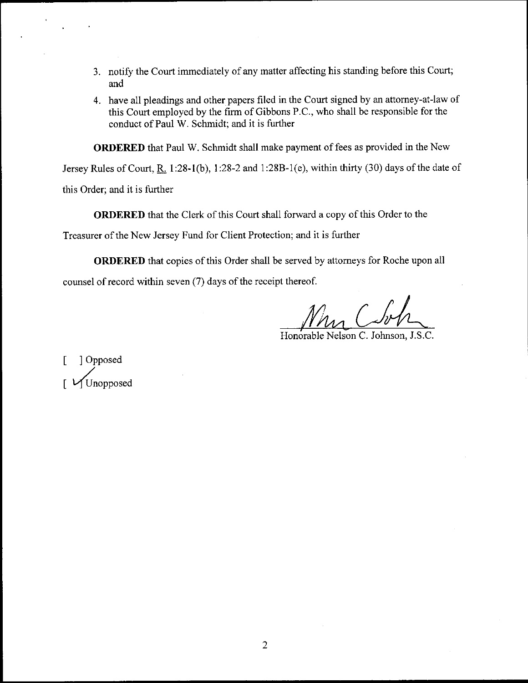- 3. notify the Court immediately of any matter affecting his standing before this Court; and
- 4. have all pleadings and other papers filed in the Court signed by an attomey-at-law of this Court employed by the firm of Gibbons P.C., who shall be responsible for the conduct of Paul W. Schmidt; and it is further

ORDERED that Paul W. Schmidt shall make payment of fees as provided in the New

Jersey Rules of Court, R. 1:28-1(b), 1:28-2 and 1:28B-1(e), within thirty (30) days of the date of

this Order; and it is further

ORDERED that the Clerk of this Court shall forward a copy of this Order to the

Treasurer of the New Jersey Fund for Client Protection; and it is further

ORDERED that copies of this Order shall be served by attomeys for Roche upon all counsel of record within seven (7) days of the receipt thereof.

Honorable Nelson C. Johnson, J.S.C.

[ ]Opposed Unopposed